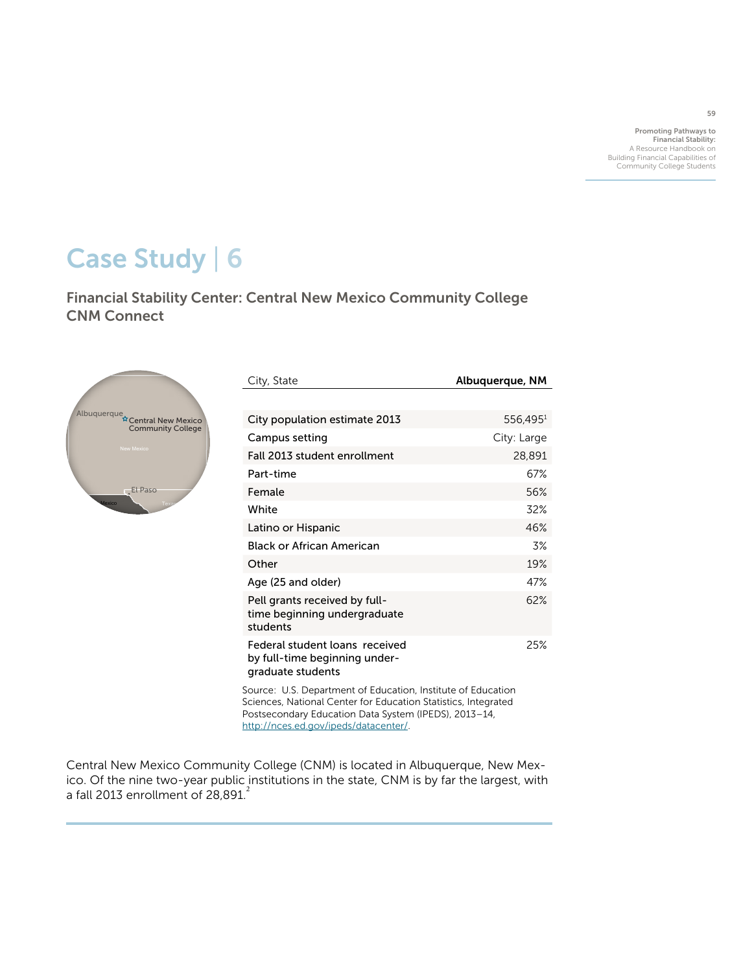Promoting Pathways to Financial Stability: A Resource Handbook on Building Financial Capabilities of Community College Students

# Case Study | 6

Financial Stability Center: Central New Mexico Community College CNM Connect



| City, State                                                                                                                    | Albuquerque, NM |
|--------------------------------------------------------------------------------------------------------------------------------|-----------------|
|                                                                                                                                |                 |
| City population estimate 2013                                                                                                  | 556,4951        |
| Campus setting                                                                                                                 | City: Large     |
| Fall 2013 student enrollment                                                                                                   | 28,891          |
| Part-time                                                                                                                      | 67%             |
| Female                                                                                                                         | 56%             |
| White                                                                                                                          | 32%             |
| Latino or Hispanic                                                                                                             | 46%             |
| Black or African American                                                                                                      | 3%              |
| Other                                                                                                                          | 19%             |
| Age (25 and older)                                                                                                             | 47%             |
| Pell grants received by full-<br>time beginning undergraduate<br>students                                                      | 62%             |
| Federal student loans received<br>by full-time beginning under-<br>graduate students                                           | 25%             |
| Source: U.S. Department of Education, Institute of Education<br>Sciences, National Center for Education Statistics, Integrated |                 |

Sciences, National Center for Education Statistics, Integrated Postsecondary Education Data System (IPEDS), 2013–14, <http://nces.ed.gov/ipeds/datacenter/>.

Central New Mexico Community College (CNM) is located in Albuquerque, New Mexico. Of the nine two-year public institutions in the state, CNM is by far the largest, with a fall 2013 enrollment of  $28,891^2$ 

59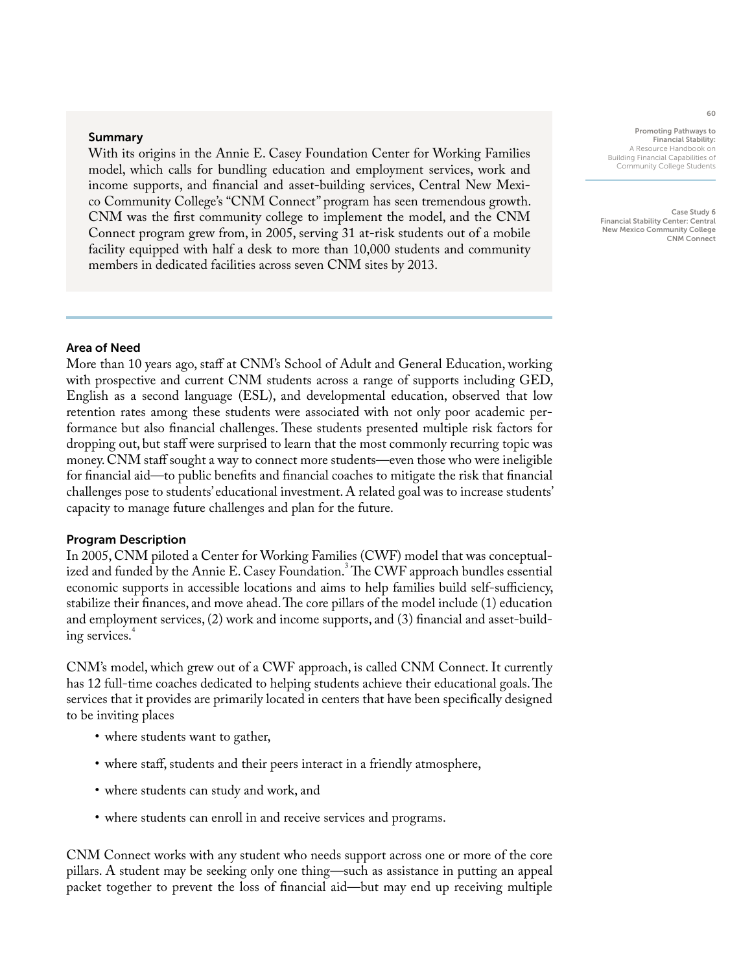#### Summary

With its origins in the Annie E. Casey Foundation Center for Working Families model, which calls for bundling education and employment services, work and income supports, and financial and asset-building services, Central New Mexico Community College's "CNM Connect" program has seen tremendous growth. CNM was the first community college to implement the model, and the CNM Connect program grew from, in 2005, serving 31 at-risk students out of a mobile facility equipped with half a desk to more than 10,000 students and community members in dedicated facilities across seven CNM sites by 2013.

Promoting Pathways to Financial Stability: A Resource Handbook on Building Financial Capabilities of Community College Students

Case Study 6 Financial Stability Center: Central New Mexico Community College CNM Connect

## Area of Need

More than 10 years ago, staff at CNM's School of Adult and General Education, working with prospective and current CNM students across a range of supports including GED, English as a second language (ESL), and developmental education, observed that low retention rates among these students were associated with not only poor academic performance but also financial challenges. These students presented multiple risk factors for dropping out, but staff were surprised to learn that the most commonly recurring topic was money. CNM staff sought a way to connect more students—even those who were ineligible for financial aid—to public benefits and financial coaches to mitigate the risk that financial challenges pose to students' educational investment. A related goal was to increase students' capacity to manage future challenges and plan for the future.

#### Program Description

In 2005, CNM piloted a Center for Working Families (CWF) model that was conceptualized and funded by the Annie E. Casey Foundation.<sup>3</sup> The CWF approach bundles essential economic supports in accessible locations and aims to help families build self-sufficiency, stabilize their finances, and move ahead. The core pillars of the model include (1) education and employment services, (2) work and income supports, and (3) financial and asset-building services.<sup>4</sup>

CNM's model, which grew out of a CWF approach, is called CNM Connect. It currently has 12 full-time coaches dedicated to helping students achieve their educational goals. The services that it provides are primarily located in centers that have been specifically designed to be inviting places

- where students want to gather,
- where staff, students and their peers interact in a friendly atmosphere,
- where students can study and work, and
- where students can enroll in and receive services and programs.

CNM Connect works with any student who needs support across one or more of the core pillars. A student may be seeking only one thing—such as assistance in putting an appeal packet together to prevent the loss of financial aid—but may end up receiving multiple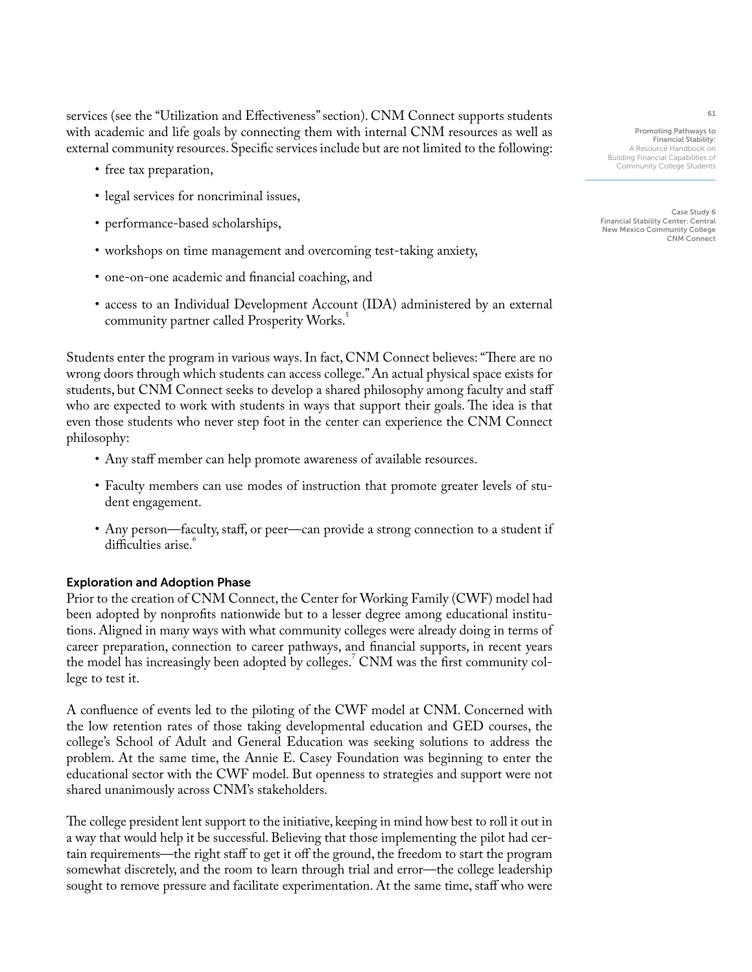services (see the "Utilization and Effectiveness" section). CNM Connect supports students with academic and life goals by connecting them with internal CNM resources as well as external community resources. Specific services include but are not limited to the following:

- free tax preparation,
- legal services for noncriminal issues,
- performance-based scholarships,
- workshops on time management and overcoming test-taking anxiety,
- one-on-one academic and financial coaching, and
- access to an Individual Development Account (IDA) administered by an external community partner called Prosperity Works.

Students enter the program in various ways. In fact, CNM Connect believes: "There are no wrong doors through which students can access college." An actual physical space exists for students, but CNM Connect seeks to develop a shared philosophy among faculty and staff who are expected to work with students in ways that support their goals. The idea is that even those students who never step foot in the center can experience the CNM Connect philosophy:

- Any staff member can help promote awareness of available resources.
- Faculty members can use modes of instruction that promote greater levels of student engagement.
- Any person—faculty, staff, or peer—can provide a strong connection to a student if difficulties arise.<sup>6</sup>

## Exploration and Adoption Phase

Prior to the creation of CNM Connect, the Center for Working Family (CWF) model had been adopted by nonprofits nationwide but to a lesser degree among educational institutions. Aligned in many ways with what community colleges were already doing in terms of career preparation, connection to career pathways, and financial supports, in recent years the model has increasingly been adopted by colleges.<sup>7</sup> CNM was the first community college to test it.

A confluence of events led to the piloting of the CWF model at CNM. Concerned with the low retention rates of those taking developmental education and GED courses, the college's School of Adult and General Education was seeking solutions to address the problem. At the same time, the Annie E. Casey Foundation was beginning to enter the educational sector with the CWF model. But openness to strategies and support were not shared unanimously across CNM's stakeholders.

The college president lent support to the initiative, keeping in mind how best to roll it out in a way that would help it be successful. Believing that those implementing the pilot had certain requirements—the right staff to get it off the ground, the freedom to start the program somewhat discretely, and the room to learn through trial and error—the college leadership sought to remove pressure and facilitate experimentation. At the same time, staff who were

Promoting Pathways to Financial Stability: A Resource Handbook on Building Financial Capabilities of Community College Students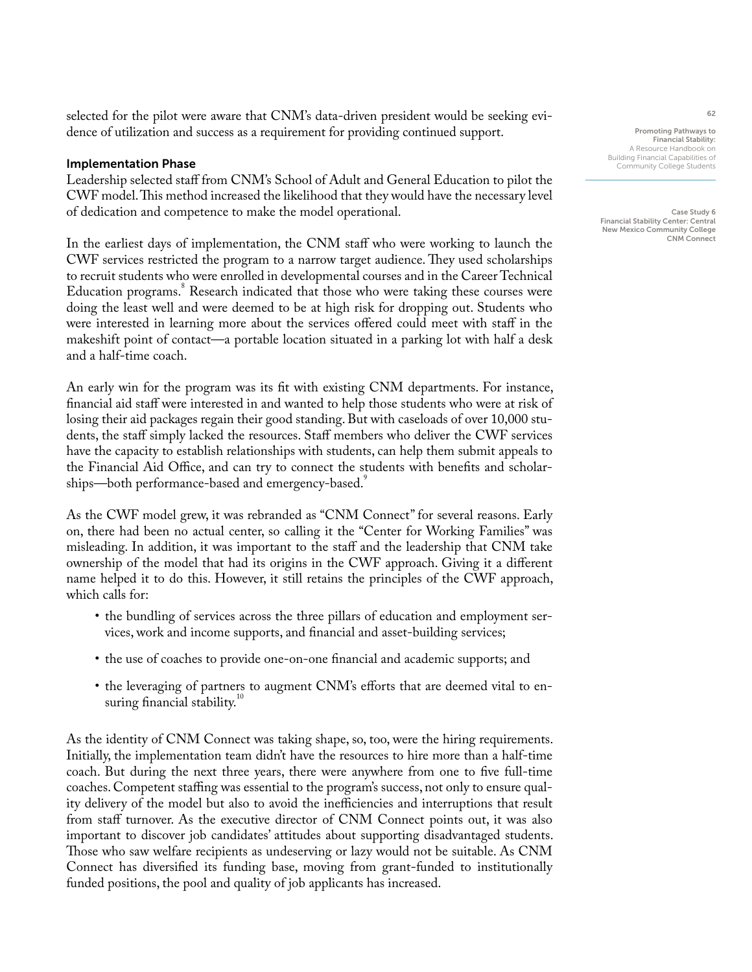selected for the pilot were aware that CNM's data-driven president would be seeking evidence of utilization and success as a requirement for providing continued support.

## Implementation Phase

Leadership selected staff from CNM's School of Adult and General Education to pilot the CWF model. This method increased the likelihood that they would have the necessary level of dedication and competence to make the model operational.

In the earliest days of implementation, the CNM staff who were working to launch the CWF services restricted the program to a narrow target audience. They used scholarships to recruit students who were enrolled in developmental courses and in the Career Technical Education programs.<sup>8</sup> Research indicated that those who were taking these courses were doing the least well and were deemed to be at high risk for dropping out. Students who were interested in learning more about the services offered could meet with staff in the makeshift point of contact—a portable location situated in a parking lot with half a desk and a half-time coach.

An early win for the program was its fit with existing CNM departments. For instance, financial aid staff were interested in and wanted to help those students who were at risk of losing their aid packages regain their good standing. But with caseloads of over 10,000 students, the staff simply lacked the resources. Staff members who deliver the CWF services have the capacity to establish relationships with students, can help them submit appeals to the Financial Aid Office, and can try to connect the students with benefits and scholarships—both performance-based and emergency-based.

As the CWF model grew, it was rebranded as "CNM Connect" for several reasons. Early on, there had been no actual center, so calling it the "Center for Working Families" was misleading. In addition, it was important to the staff and the leadership that CNM take ownership of the model that had its origins in the CWF approach. Giving it a different name helped it to do this. However, it still retains the principles of the CWF approach, which calls for:

- the bundling of services across the three pillars of education and employment services, work and income supports, and financial and asset-building services;
- the use of coaches to provide one-on-one financial and academic supports; and
- the leveraging of partners to augment CNM's efforts that are deemed vital to ensuring financial stability.<sup>10</sup>

As the identity of CNM Connect was taking shape, so, too, were the hiring requirements. Initially, the implementation team didn't have the resources to hire more than a half-time coach. But during the next three years, there were anywhere from one to five full-time coaches. Competent staffing was essential to the program's success, not only to ensure quality delivery of the model but also to avoid the inefficiencies and interruptions that result from staff turnover. As the executive director of CNM Connect points out, it was also important to discover job candidates' attitudes about supporting disadvantaged students. Those who saw welfare recipients as undeserving or lazy would not be suitable. As CNM Connect has diversified its funding base, moving from grant-funded to institutionally funded positions, the pool and quality of job applicants has increased.

Promoting Pathways to Financial Stability: A Resource Handbook on Building Financial Capabilities of Community College Students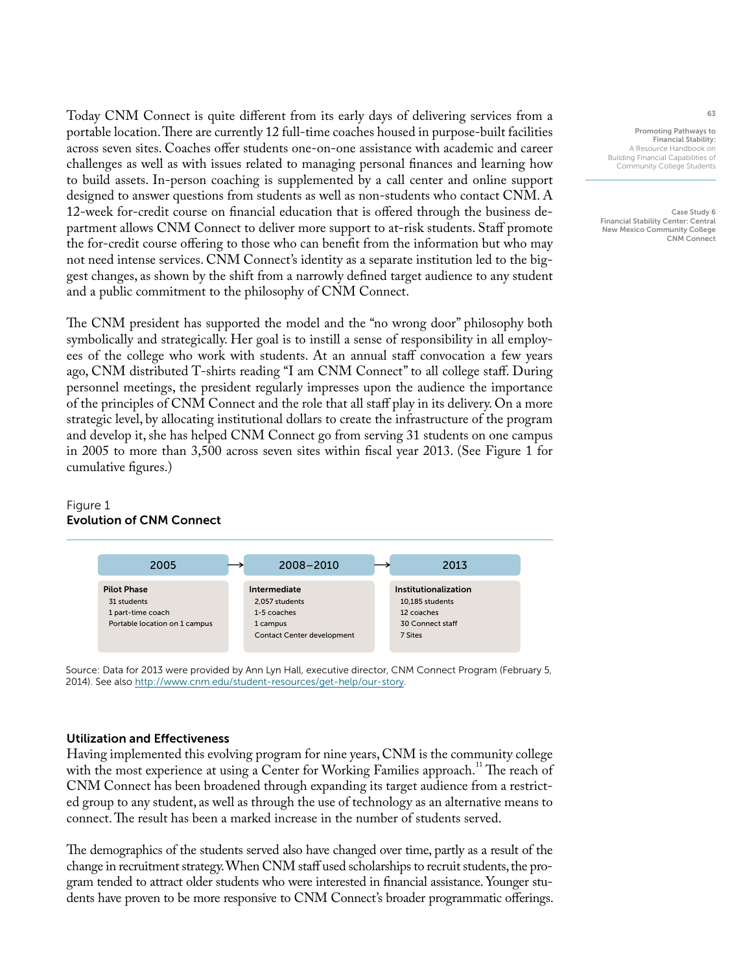Today CNM Connect is quite different from its early days of delivering services from a portable location. There are currently 12 full-time coaches housed in purpose-built facilities across seven sites. Coaches offer students one-on-one assistance with academic and career challenges as well as with issues related to managing personal finances and learning how to build assets. In-person coaching is supplemented by a call center and online support designed to answer questions from students as well as non-students who contact CNM. A 12-week for-credit course on financial education that is offered through the business department allows CNM Connect to deliver more support to at-risk students. Staff promote the for-credit course offering to those who can benefit from the information but who may not need intense services. CNM Connect's identity as a separate institution led to the biggest changes, as shown by the shift from a narrowly defined target audience to any student and a public commitment to the philosophy of CNM Connect.

The CNM president has supported the model and the "no wrong door" philosophy both symbolically and strategically. Her goal is to instill a sense of responsibility in all employees of the college who work with students. At an annual staff convocation a few years ago, CNM distributed T-shirts reading "I am CNM Connect" to all college staff. During personnel meetings, the president regularly impresses upon the audience the importance of the principles of CNM Connect and the role that all staff play in its delivery. On a more strategic level, by allocating institutional dollars to create the infrastructure of the program and develop it, she has helped CNM Connect go from serving 31 students on one campus in 2005 to more than 3,500 across seven sites within fiscal year 2013. (See Figure 1 for cumulative figures.)

# Figure 1 Evolution of CNM Connect



Source: Data for 2013 were provided by Ann Lyn Hall, executive director, CNM Connect Program (February 5, 2014). See also [http://www.cnm.edu/student-resources/get-help/our-story.](http://www.cnm.edu/student-resources/get-help/our-story)

#### Utilization and Effectiveness

Having implemented this evolving program for nine years, CNM is the community college with the most experience at using a Center for Working Families approach.<sup>11</sup> The reach of CNM Connect has been broadened through expanding its target audience from a restricted group to any student, as well as through the use of technology as an alternative means to connect. The result has been a marked increase in the number of students served.

The demographics of the students served also have changed over time, partly as a result of the change in recruitment strategy. When CNM staff used scholarships to recruit students, the program tended to attract older students who were interested in financial assistance. Younger students have proven to be more responsive to CNM Connect's broader programmatic offerings.

Promoting Pathways to Financial Stability: A Resource Handbook on Building Financial Capabilities of Community College Students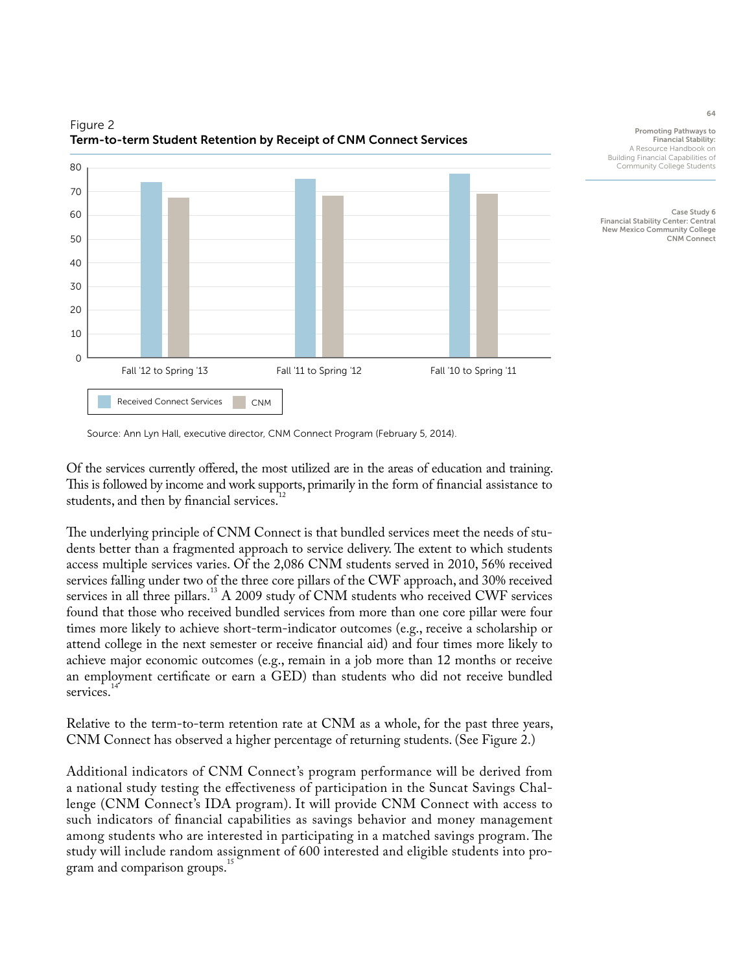

Figure 2 Term-to-term Student Retention by Receipt of CNM Connect Services



Case Study 6 Financial Stability Center: Central New Mexico Community College CNM Connect

Source: Ann Lyn Hall, executive director, CNM Connect Program (February 5, 2014).

Of the services currently offered, the most utilized are in the areas of education and training. This is followed by income and work supports, primarily in the form of financial assistance to students, and then by financial services.<sup>1</sup>

The underlying principle of CNM Connect is that bundled services meet the needs of students better than a fragmented approach to service delivery. The extent to which students access multiple services varies. Of the 2,086 CNM students served in 2010, 56% received services falling under two of the three core pillars of the CWF approach, and 30% received services in all three pillars. $^{13}$  A 2009 study of CNM students who received CWF services found that those who received bundled services from more than one core pillar were four times more likely to achieve short-term-indicator outcomes (e.g., receive a scholarship or attend college in the next semester or receive financial aid) and four times more likely to achieve major economic outcomes (e.g., remain in a job more than 12 months or receive an employment certificate or earn a GED) than students who did not receive bundled services.

Relative to the term-to-term retention rate at CNM as a whole, for the past three years, CNM Connect has observed a higher percentage of returning students. (See Figure 2.)

Additional indicators of CNM Connect's program performance will be derived from a national study testing the effectiveness of participation in the Suncat Savings Challenge (CNM Connect's IDA program). It will provide CNM Connect with access to such indicators of financial capabilities as savings behavior and money management among students who are interested in participating in a matched savings program. The study will include random assignment of 600 interested and eligible students into program and comparison groups.<sup>15</sup>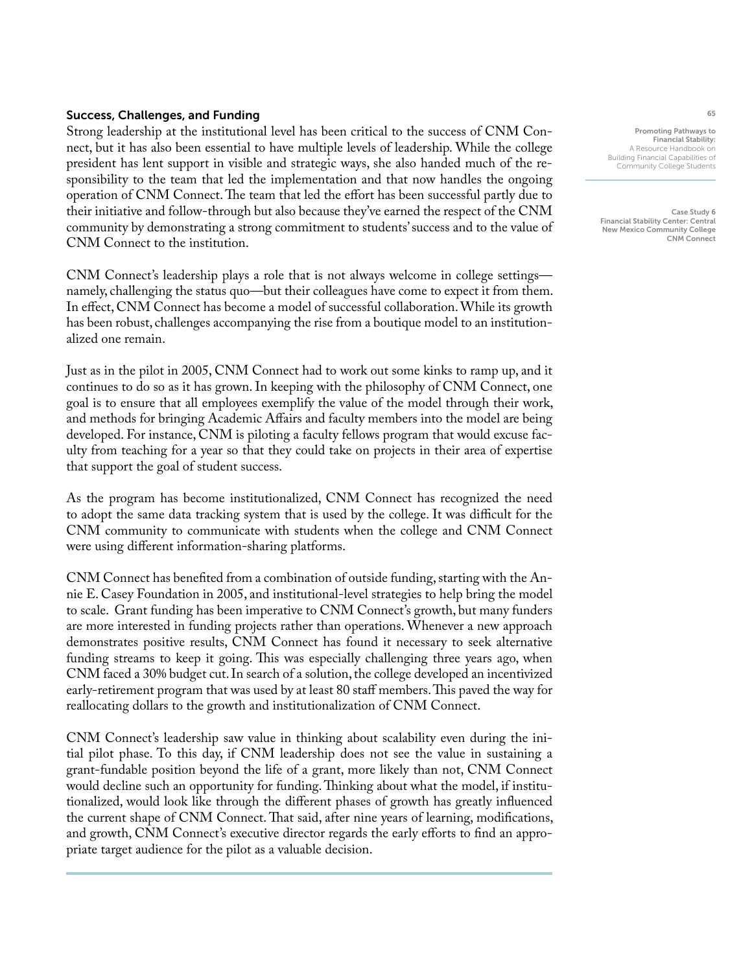## Success, Challenges, and Funding

Strong leadership at the institutional level has been critical to the success of CNM Connect, but it has also been essential to have multiple levels of leadership. While the college president has lent support in visible and strategic ways, she also handed much of the responsibility to the team that led the implementation and that now handles the ongoing operation of CNM Connect. The team that led the effort has been successful partly due to their initiative and follow-through but also because they've earned the respect of the CNM community by demonstrating a strong commitment to students' success and to the value of CNM Connect to the institution.

CNM Connect's leadership plays a role that is not always welcome in college settings namely, challenging the status quo—but their colleagues have come to expect it from them. In effect, CNM Connect has become a model of successful collaboration. While its growth has been robust, challenges accompanying the rise from a boutique model to an institutionalized one remain.

Just as in the pilot in 2005, CNM Connect had to work out some kinks to ramp up, and it continues to do so as it has grown. In keeping with the philosophy of CNM Connect, one goal is to ensure that all employees exemplify the value of the model through their work, and methods for bringing Academic Affairs and faculty members into the model are being developed. For instance, CNM is piloting a faculty fellows program that would excuse faculty from teaching for a year so that they could take on projects in their area of expertise that support the goal of student success.

As the program has become institutionalized, CNM Connect has recognized the need to adopt the same data tracking system that is used by the college. It was difficult for the CNM community to communicate with students when the college and CNM Connect were using different information-sharing platforms.

CNM Connect has benefited from a combination of outside funding, starting with the Annie E. Casey Foundation in 2005, and institutional-level strategies to help bring the model to scale. Grant funding has been imperative to CNM Connect's growth, but many funders are more interested in funding projects rather than operations. Whenever a new approach demonstrates positive results, CNM Connect has found it necessary to seek alternative funding streams to keep it going. This was especially challenging three years ago, when CNM faced a 30% budget cut. In search of a solution, the college developed an incentivized early-retirement program that was used by at least 80 staff members. This paved the way for reallocating dollars to the growth and institutionalization of CNM Connect.

CNM Connect's leadership saw value in thinking about scalability even during the initial pilot phase. To this day, if CNM leadership does not see the value in sustaining a grant-fundable position beyond the life of a grant, more likely than not, CNM Connect would decline such an opportunity for funding. Thinking about what the model, if institutionalized, would look like through the different phases of growth has greatly influenced the current shape of CNM Connect. That said, after nine years of learning, modifications, and growth, CNM Connect's executive director regards the early efforts to find an appropriate target audience for the pilot as a valuable decision.

Promoting Pathways to Financial Stability: A Resource Handbook on Building Financial Capabilities of Community College Students